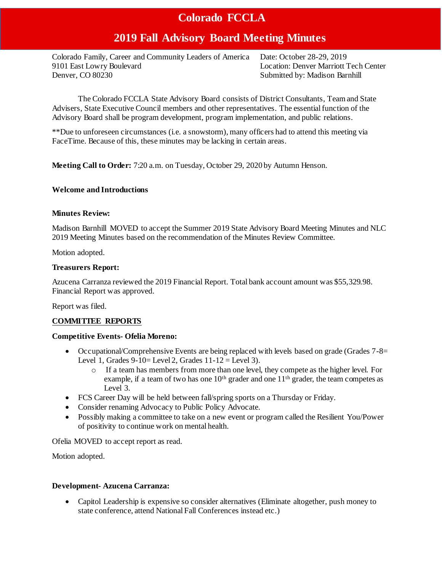# **2019 Fall Advisory Board Meeting Minutes**

Colorado Family, Career and Community Leaders of America Date: October 28-29, 2019 9101 East Lowry Boulevard Location: Denver Marriott Tech Center Denver, CO 80230 Submitted by: Madison Barnhill

The Colorado FCCLA State Advisory Board consists of District Consultants, Team and State Advisers, State Executive Council members and other representatives. The essential function of the Advisory Board shall be program development, program implementation, and public relations.

\*\*Due to unforeseen circumstances (i.e. a snowstorm), many officers had to attend this meeting via FaceTime. Because of this, these minutes may be lacking in certain areas.

**Meeting Call to Order:** 7:20 a.m. on Tuesday, October 29, 2020 by Autumn Henson.

# **Welcome and Introductions**

# **Minutes Review:**

Madison Barnhill MOVED to accept the Summer 2019 State Advisory Board Meeting Minutes and NLC 2019 Meeting Minutes based on the recommendation of the Minutes Review Committee.

Motion adopted.

# **Treasurers Report:**

Azucena Carranza reviewed the 2019 Financial Report. Total bank account amount was \$55,329.98. Financial Report was approved.

Report was filed.

# **COMMITTEE REPORTS**

# **Competitive Events- Ofelia Moreno:**

- Occupational/Comprehensive Events are being replaced with levels based on grade (Grades  $7 8 =$ Level 1, Grades  $9-10=$  Level 2, Grades  $11-12=$  Level 3).
	- o If a team has members from more than one level, they compete as the higher level. For example, if a team of two has one  $10<sup>th</sup>$  grader and one  $11<sup>th</sup>$  grader, the team competes as Level 3.
- FCS Career Day will be held between fall/spring sports on a Thursday or Friday.
- Consider renaming Advocacy to Public Policy Advocate.
- Possibly making a committee to take on a new event or program called the Resilient You/Power of positivity to continue work on mental health.

Ofelia MOVED to accept report as read.

Motion adopted.

# **Development- Azucena Carranza:**

 Capitol Leadership is expensive so consider alternatives (Eliminate altogether, push money to state conference, attend National Fall Conferences instead etc.)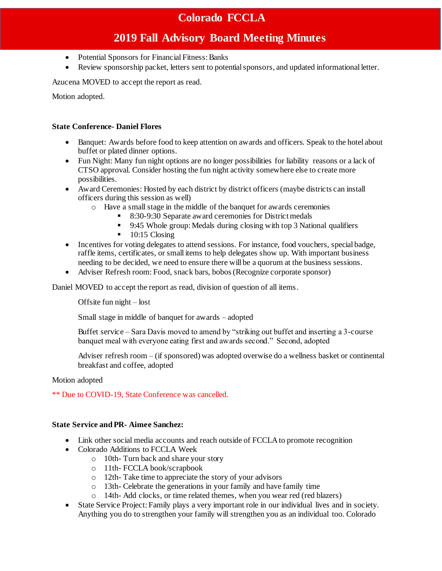# **2019 Fall Advisory Board Meeting Minutes**

- Potential Sponsors for Financial Fitness: Banks
- Review sponsorship packet, letters sent to potential sponsors, and updated informational letter.

Azucena MOVED to accept the report as read.

Motion adopted.

# **State Conference- Daniel Flores**

- Banquet: Awards before food to keep attention on awards and officers. Speak to the hotel about buffet or plated dinner options.
- Fun Night: Many fun night options are no longer possibilities for liability reasons or a lack of CTSO approval. Consider hosting the fun night activity somewhere else to create more possibilities.
- Award Ceremonies: Hosted by each district by district officers (maybe districts can install officers during this session as well)
	- o Have a small stage in the middle of the banquet for awards ceremonies
		- 8:30-9:30 Separate award ceremonies for District medals
		- 9:45 Whole group: Medals during closing with top 3 National qualifiers
		- $\blacksquare$  10:15 Closing
- Incentives for voting delegates to attend sessions. For instance, food vouchers, special badge, raffle items, certificates, or small items to help delegates show up. With important business needing to be decided, we need to ensure there will be a quorum at the business sessions.
- Adviser Refresh room: Food, snack bars, bobos (Recognize corporate sponsor)

Daniel MOVED to accept the report as read, division of question of all items.

Offsite fun night – lost

Small stage in middle of banquet for awards – adopted

Buffet service – Sara Davis moved to amend by "striking out buffet and inserting a 3-course banquet meal with everyone eating first and awards second." Second, adopted

Adviser refresh room – (if sponsored) was adopted overwise do a wellness basket or continental breakfast and coffee, adopted

#### Motion adopted

\*\* Due to COVID-19, State Conference was cancelled.

#### **State Service and PR- Aimee Sanchez:**

- Link other social media accounts and reach outside of FCCLA to promote recognition
- Colorado Additions to FCCLA Week
	- o 10th- Turn back and share your story
	- o 11th- FCCLA book/scrapbook
	- o 12th- Take time to appreciate the story of your advisors
	- o 13th- Celebrate the generations in your family and have family time
	- o 14th- Add clocks, or time related themes, when you wear red (red blazers)
- State Service Project: Family plays a very important role in our individual lives and in society. Anything you do to strengthen your family will strengthen you as an individual too. Colorado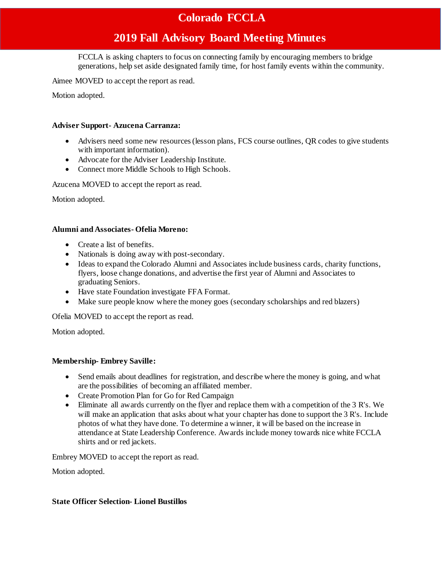# **2019 Fall Advisory Board Meeting Minutes**

FCCLA is asking chapters to focus on connecting family by encouraging members to bridge generations, help set aside designated family time, for host family events within the community.

Aimee MOVED to accept the report as read.

Motion adopted.

### **Adviser Support- Azucena Carranza:**

- Advisers need some new resources (lesson plans, FCS course outlines, QR codes to give students with important information).
- Advocate for the Adviser Leadership Institute.
- Connect more Middle Schools to High Schools.

Azucena MOVED to accept the report as read.

Motion adopted.

# **Alumni and Associates- Ofelia Moreno:**

- Create a list of benefits.
- Nationals is doing away with post-secondary.
- Ideas to expand the Colorado Alumni and Associates include business cards, charity functions, flyers, loose change donations, and advertise the first year of Alumni and Associates to graduating Seniors.
- Have state Foundation investigate FFA Format.
- Make sure people know where the money goes (secondary scholarships and red blazers)

Ofelia MOVED to accept the report as read.

Motion adopted.

# **Membership- Embrey Saville:**

- Send emails about deadlines for registration, and describe where the money is going, and what are the possibilities of becoming an affiliated member.
- Create Promotion Plan for Go for Red Campaign
- Eliminate all awards currently on the flyer and replace them with a competition of the 3 R's. We will make an application that asks about what your chapter has done to support the 3 R's. Include photos of what they have done. To determine a winner, it will be based on the increase in attendance at State Leadership Conference. Awards include money towards nice white FCCLA shirts and or red jackets.

Embrey MOVED to accept the report as read.

Motion adopted.

#### **State Officer Selection- Lionel Bustillos**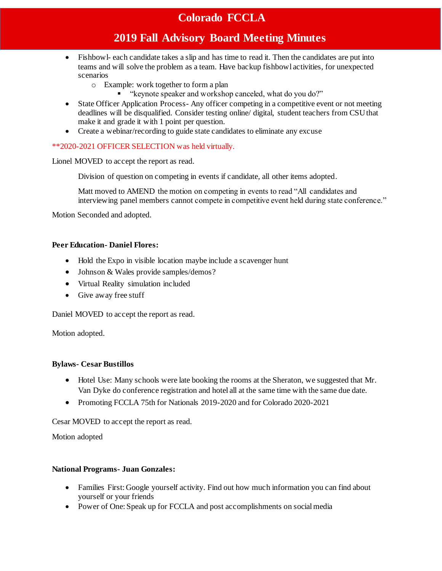# **2019 Fall Advisory Board Meeting Minutes**

- Fishbowl- each candidate takes a slip and has time to read it. Then the candidates are put into teams and will solve the problem as a team. Have backup fishbowl activities, for unexpected scenarios
	- o Example: work together to form a plan
		- "keynote speaker and workshop canceled, what do you do?"
- State Officer Application Process- Any officer competing in a competitive event or not meeting deadlines will be disqualified. Consider testing online/ digital, student teachers from CSU that make it and grade it with 1 point per question.
- Create a webinar/recording to guide state candidates to eliminate any excuse

# \*\*2020-2021 OFFICER SELECTION was held virtually.

Lionel MOVED to accept the report as read.

Division of question on competing in events if candidate, all other items adopted.

Matt moved to AMEND the motion on competing in events to read "All candidates and interviewing panel members cannot compete in competitive event held during state conference."

Motion Seconded and adopted.

# **Peer Education- Daniel Flores:**

- Hold the Expo in visible location maybe include a scavenger hunt
- Johnson & Wales provide samples/demos?
- Virtual Reality simulation included
- Give away free stuff

Daniel MOVED to accept the report as read.

Motion adopted.

# **Bylaws- Cesar Bustillos**

- Hotel Use: Many schools were late booking the rooms at the Sheraton, we suggested that Mr. Van Dyke do conference registration and hotel all at the same time with the same due date.
- Promoting FCCLA 75th for Nationals 2019-2020 and for Colorado 2020-2021

Cesar MOVED to accept the report as read.

Motion adopted

# **National Programs- Juan Gonzales:**

- Families First: Google yourself activity. Find out how much information you can find about yourself or your friends
- Power of One: Speak up for FCCLA and post accomplishments on social media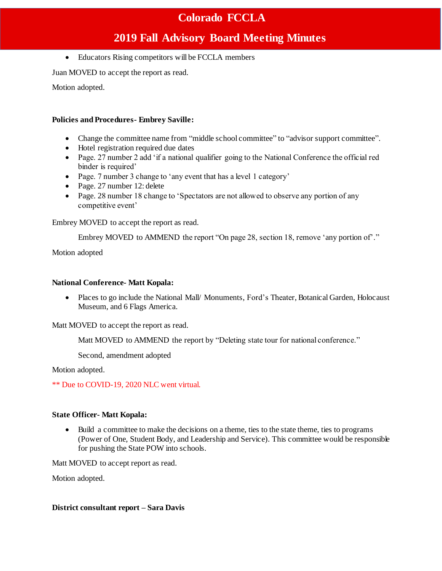# **2019 Fall Advisory Board Meeting Minutes**

• Educators Rising competitors will be FCCLA members

Juan MOVED to accept the report as read.

Motion adopted.

# **Policies and Procedures- Embrey Saville:**

- Change the committee name from "middle school committee" to "advisor support committee".
- Hotel registration required due dates
- Page. 27 number 2 add 'if a national qualifier going to the National Conference the official red binder is required'
- Page. 7 number 3 change to 'any event that has a level 1 category'
- Page. 27 number 12: delete
- Page. 28 number 18 change to 'Spectators are not allowed to observe any portion of any competitive event'

Embrey MOVED to accept the report as read.

Embrey MOVED to AMMEND the report "On page 28, section 18, remove 'any portion of'."

Motion adopted

# **National Conference- Matt Kopala:**

• Places to go include the National Mall/ Monuments, Ford's Theater, Botanical Garden, Holocaust Museum, and 6 Flags America.

Matt MOVED to accept the report as read.

Matt MOVED to AMMEND the report by "Deleting state tour for national conference."

Second, amendment adopted

Motion adopted.

\*\* Due to COVID-19, 2020 NLC went virtual.

# **State Officer- Matt Kopala:**

 Build a committee to make the decisions on a theme, ties to the state theme, ties to programs (Power of One, Student Body, and Leadership and Service). This committee would be responsible for pushing the State POW into schools.

Matt MOVED to accept report as read.

Motion adopted.

# **District consultant report – Sara Davis**